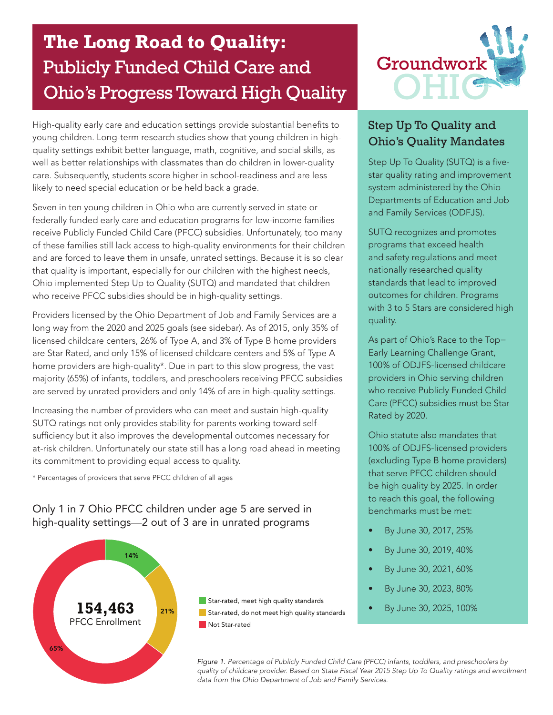## **The Long Road to Quality:** The Publicly Funded Child Care and Ohio's Progress Toward High Quality

High-quality early care and education settings provide substantial benefits to young children. Long-term research studies show that young children in highquality settings exhibit better language, math, cognitive, and social skills, as well as better relationships with classmates than do children in lower-quality care. Subsequently, students score higher in school-readiness and are less likely to need special education or be held back a grade.

Seven in ten young children in Ohio who are currently served in state or federally funded early care and education programs for low-income families receive Publicly Funded Child Care (PFCC) subsidies. Unfortunately, too many of these families still lack access to high-quality environments for their children and are forced to leave them in unsafe, unrated settings. Because it is so clear that quality is important, especially for our children with the highest needs, Ohio implemented Step Up to Quality (SUTQ) and mandated that children who receive PFCC subsidies should be in high-quality settings.

are served by unrated providers and only 14% of are in high-quality settings. Who m Providers licensed by the Ohio Department of Job and Family Services are a long way from the 2020 and 2025 goals (see sidebar). As of 2015, only 35% of licensed childcare centers, 26% of Type A, and 3% of Type B home providers are Star Rated, and only 15% of licensed childcare centers and 5% of Type A home providers are high-quality\*. Due in part to this slow progress, the vast majority (65%) of infants, toddlers, and preschoolers receiving PFCC subsidies

its commitment to providing equal access to quality. Public Preschool  $\mathsf{SUTQ}$  ratings not only provides stability for parents working toward self-Increasing the number of providers who can meet and sustain high-quality sufficiency but it also improves the developmental outcomes necessary for at-risk children. Unfortunately our state still has a long road ahead in meeting

Publicly Funded Child Care (PFCC) and Public Preschool \* Percentages of providers that serve PFCC children of all ages

high-quality settings—2 out of 3 are in unrated programs  $\mathbb{E}_{\mathbf{z}}\left[\mathbf{z}\right]$  is  $\mathbb{E}_{\mathbf{z}}\left[\mathbf{z}\right]$  if  $\mathbb{E}_{\mathbf{z}}\left[\mathbf{z}\right]$  is a setting, SFY 16 Only 1 in 7 Ohio PFCC children under age 5 are served in







## Step Up To Quality and Ohio's Quality Mandates

Step Up To Quality (SUTQ) is a fivestar quality rating and improvement system administered by the Ohio Departments of Education and Job and Family Services (ODFJS).

SUTQ recognizes and promotes programs that exceed health and safety regulations and meet nationally researched quality standards that lead to improved outcomes for children. Programs with 3 to 5 Stars are considered high quality.

As part of Ohio's Race to the Top− Early Learning Challenge Grant, 100% of ODJFS-licensed childcare providers in Ohio serving children who receive Publicly Funded Child Care (PFCC) subsidies must be Star Rated by 2020.

Ohio statute also mandates that 100% of ODJFS-licensed providers (excluding Type B home providers) that serve PFCC children should be high quality by 2025. In order to reach this goal, the following benchmarks must be met:

- By June 30, 2017, 25% Public PK Enrollment
	- By June 30, 2019, 40%
	- By June 30, 2021, 60%
	- By June 30, 2023, 80%
	- By June 30, 2025, 100%

data from the Ohio Department of Job and Family Services. **Figure 1.** *Percentage of Publicly Funded Child Care (PFCC) infants, toddlers, and preschoolers by Figure 1. Percentage of Public y Funded Child Care (PFCC) infants, toddlers, and preschoolers by quality of childcare provider. Based on State Fiscal Year 2015 Step Up To Quality ratings and enrollment quality of childcare provider. Based on State Fiscal Year 2015 Step Up To Quality ratings and enrollment*